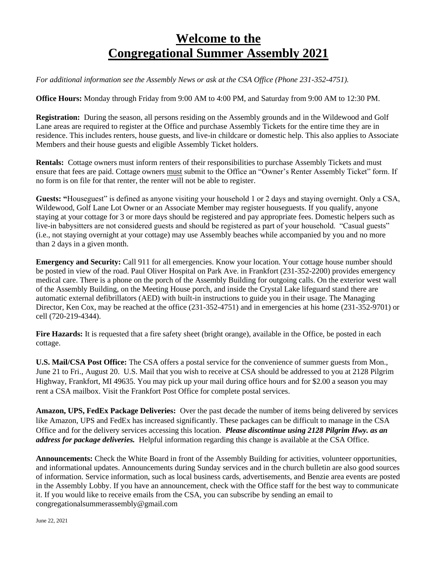# **Welcome to the Congregational Summer Assembly 2021**

*For additional information see the Assembly News or ask at the CSA Office (Phone 231-352-4751).*

**Office Hours:** Monday through Friday from 9:00 AM to 4:00 PM, and Saturday from 9:00 AM to 12:30 PM.

**Registration:** During the season, all persons residing on the Assembly grounds and in the Wildewood and Golf Lane areas are required to register at the Office and purchase Assembly Tickets for the entire time they are in residence. This includes renters, house guests, and live-in childcare or domestic help. This also applies to Associate Members and their house guests and eligible Assembly Ticket holders.

**Rentals:** Cottage owners must inform renters of their responsibilities to purchase Assembly Tickets and must ensure that fees are paid. Cottage owners must submit to the Office an "Owner's Renter Assembly Ticket" form. If no form is on file for that renter, the renter will not be able to register.

**Guests: "**Houseguest" is defined as anyone visiting your household 1 or 2 days and staying overnight. Only a CSA, Wildewood, Golf Lane Lot Owner or an Associate Member may register houseguests. If you qualify, anyone staying at your cottage for 3 or more days should be registered and pay appropriate fees. Domestic helpers such as live-in babysitters are not considered guests and should be registered as part of your household. "Casual guests" (i.e., not staying overnight at your cottage) may use Assembly beaches while accompanied by you and no more than 2 days in a given month.

**Emergency and Security:** Call 911 for all emergencies. Know your location. Your cottage house number should be posted in view of the road. Paul Oliver Hospital on Park Ave. in Frankfort (231-352-2200) provides emergency medical care. There is a phone on the porch of the Assembly Building for outgoing calls. On the exterior west wall of the Assembly Building, on the Meeting House porch, and inside the Crystal Lake lifeguard stand there are automatic external defibrillators (AED) with built-in instructions to guide you in their usage. The Managing Director, Ken Cox, may be reached at the office (231-352-4751) and in emergencies at his home (231-352-9701) or cell (720-219-4344).

**Fire Hazards:** It is requested that a fire safety sheet (bright orange), available in the Office, be posted in each cottage.

**U.S. Mail/CSA Post Office:** The CSA offers a postal service for the convenience of summer guests from Mon., June 21 to Fri., August 20. U.S. Mail that you wish to receive at CSA should be addressed to you at 2128 Pilgrim Highway, Frankfort, MI 49635. You may pick up your mail during office hours and for \$2.00 a season you may rent a CSA mailbox. Visit the Frankfort Post Office for complete postal services.

**Amazon, UPS, FedEx Package Deliveries:** Over the past decade the number of items being delivered by services like Amazon, UPS and FedEx has increased significantly. These packages can be difficult to manage in the CSA Office and for the delivery services accessing this location*. Please discontinue using 2128 Pilgrim Hwy. as an address for package deliveries.*Helpful information regarding this change is available at the CSA Office.

**Announcements:** Check the White Board in front of the Assembly Building for activities, volunteer opportunities, and informational updates. Announcements during Sunday services and in the church bulletin are also good sources of information. Service information, such as local business cards, advertisements, and Benzie area events are posted in the Assembly Lobby. If you have an announcement, check with the Office staff for the best way to communicate it. If you would like to receive emails from the CSA, you can subscribe by sending an email to congregationalsummerassembly@gmail.com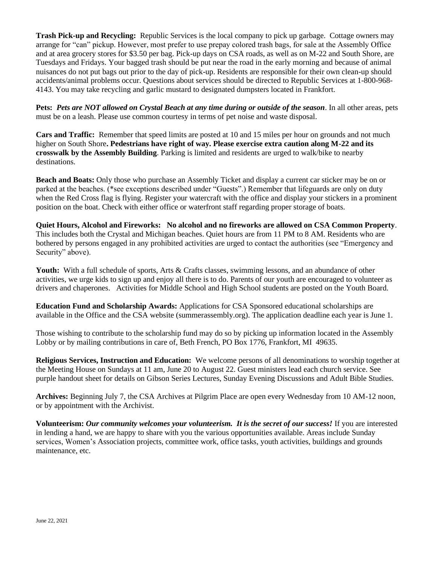**Trash Pick-up and Recycling:** Republic Services is the local company to pick up garbage. Cottage owners may arrange for "can" pickup. However, most prefer to use prepay colored trash bags, for sale at the Assembly Office and at area grocery stores for \$3.50 per bag. Pick-up days on CSA roads, as well as on M-22 and South Shore, are Tuesdays and Fridays. Your bagged trash should be put near the road in the early morning and because of animal nuisances do not put bags out prior to the day of pick-up. Residents are responsible for their own clean-up should accidents/animal problems occur. Questions about services should be directed to Republic Services at 1-800-968- 4143. You may take recycling and garlic mustard to designated dumpsters located in Frankfort.

**Pets:** *Pets are NOT allowed on Crystal Beach at any time during or outside of the season*. In all other areas, pets must be on a leash. Please use common courtesy in terms of pet noise and waste disposal.

**Cars and Traffic:** Remember that speed limits are posted at 10 and 15 miles per hour on grounds and not much higher on South Shore**. Pedestrians have right of way. Please exercise extra caution along M-22 and its crosswalk by the Assembly Building**. Parking is limited and residents are urged to walk/bike to nearby destinations.

**Beach and Boats:** Only those who purchase an Assembly Ticket and display a current car sticker may be on or parked at the beaches. (\*see exceptions described under "Guests".) Remember that lifeguards are only on duty when the Red Cross flag is flying. Register your watercraft with the office and display your stickers in a prominent position on the boat. Check with either office or waterfront staff regarding proper storage of boats.

**Quiet Hours, Alcohol and Fireworks: No alcohol and no fireworks are allowed on CSA Common Property**. This includes both the Crystal and Michigan beaches. Quiet hours are from 11 PM to 8 AM. Residents who are bothered by persons engaged in any prohibited activities are urged to contact the authorities (see "Emergency and Security" above).

Youth: With a full schedule of sports, Arts & Crafts classes, swimming lessons, and an abundance of other activities, we urge kids to sign up and enjoy all there is to do. Parents of our youth are encouraged to volunteer as drivers and chaperones. Activities for Middle School and High School students are posted on the Youth Board.

**Education Fund and Scholarship Awards:** Applications for CSA Sponsored educational scholarships are available in the Office and the CSA website (summerassembly.org). The application deadline each year is June 1.

Those wishing to contribute to the scholarship fund may do so by picking up information located in the Assembly Lobby or by mailing contributions in care of, Beth French, PO Box 1776, Frankfort, MI 49635.

**Religious Services, Instruction and Education:** We welcome persons of all denominations to worship together at the Meeting House on Sundays at 11 am, June 20 to August 22. Guest ministers lead each church service. See purple handout sheet for details on Gibson Series Lectures, Sunday Evening Discussions and Adult Bible Studies.

**Archives:** Beginning July 7, the CSA Archives at Pilgrim Place are open every Wednesday from 10 AM-12 noon, or by appointment with the Archivist.

**Volunteerism:** *Our community welcomes your volunteerism. It is the secret of our success!* If you are interested in lending a hand, we are happy to share with you the various opportunities available. Areas include Sunday services, Women's Association projects, committee work, office tasks, youth activities, buildings and grounds maintenance, etc.